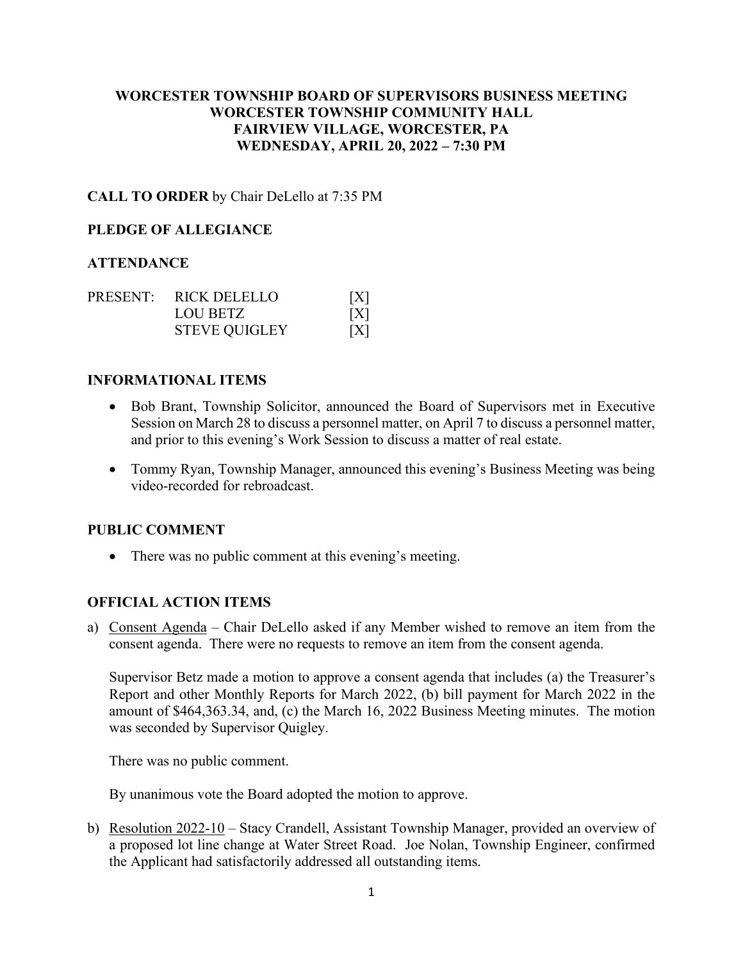# **WORCESTER TOWNSHIP BOARD OF SUPERVISORS BUSINESS MEETING WORCESTER TOWNSHIP COMMUNITY HALL FAIRVIEW VILLAGE, WORCESTER, PA WEDNESDAY, APRIL 20, 2022 – 7:30 PM**

# **CALL TO ORDER** by Chair DeLello at 7:35 PM

### **PLEDGE OF ALLEGIANCE**

### **ATTENDANCE**

|  | PRESENT: RICK DELELLO | [X] |
|--|-----------------------|-----|
|  | LOU BETZ              | [X] |
|  | <b>STEVE QUIGLEY</b>  | [X] |

### **INFORMATIONAL ITEMS**

- Bob Brant, Township Solicitor, announced the Board of Supervisors met in Executive Session on March 28 to discuss a personnel matter, on April 7 to discuss a personnel matter, and prior to this evening's Work Session to discuss a matter of real estate.
- Tommy Ryan, Township Manager, announced this evening's Business Meeting was being video-recorded for rebroadcast.

#### **PUBLIC COMMENT**

• There was no public comment at this evening's meeting.

### **OFFICIAL ACTION ITEMS**

a) Consent Agenda – Chair DeLello asked if any Member wished to remove an item from the consent agenda. There were no requests to remove an item from the consent agenda.

Supervisor Betz made a motion to approve a consent agenda that includes (a) the Treasurer's Report and other Monthly Reports for March 2022, (b) bill payment for March 2022 in the amount of \$464,363.34, and, (c) the March 16, 2022 Business Meeting minutes. The motion was seconded by Supervisor Quigley.

There was no public comment.

By unanimous vote the Board adopted the motion to approve.

b) Resolution 2022-10 – Stacy Crandell, Assistant Township Manager, provided an overview of a proposed lot line change at Water Street Road. Joe Nolan, Township Engineer, confirmed the Applicant had satisfactorily addressed all outstanding items.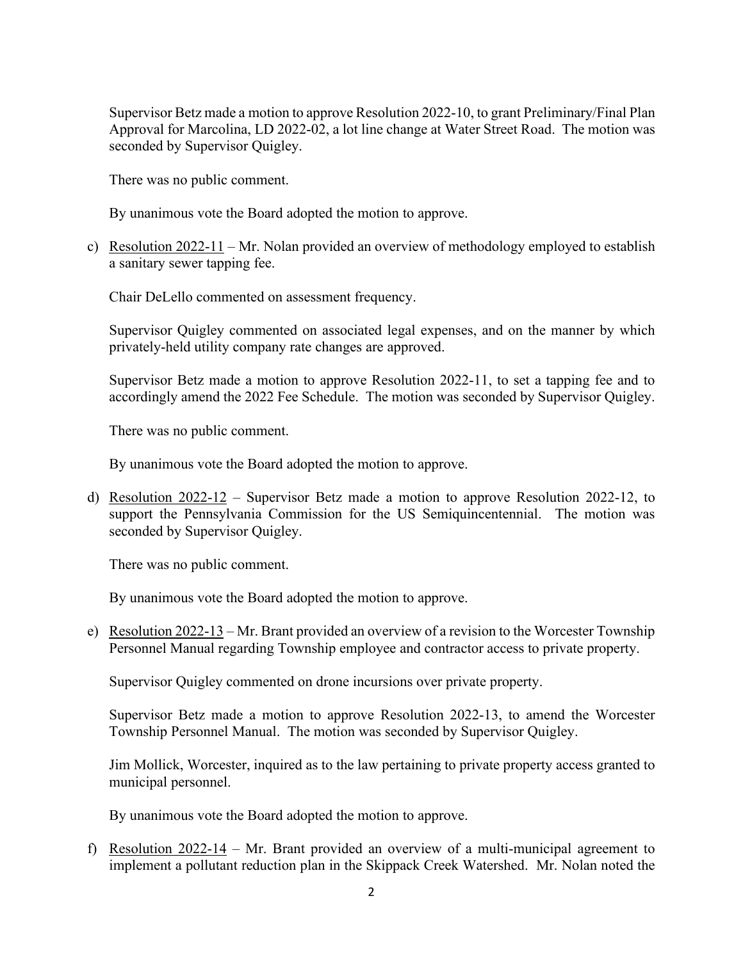Supervisor Betz made a motion to approve Resolution 2022-10, to grant Preliminary/Final Plan Approval for Marcolina, LD 2022-02, a lot line change at Water Street Road. The motion was seconded by Supervisor Quigley.

There was no public comment.

By unanimous vote the Board adopted the motion to approve.

c) Resolution 2022-11 – Mr. Nolan provided an overview of methodology employed to establish a sanitary sewer tapping fee.

Chair DeLello commented on assessment frequency.

Supervisor Quigley commented on associated legal expenses, and on the manner by which privately-held utility company rate changes are approved.

Supervisor Betz made a motion to approve Resolution 2022-11, to set a tapping fee and to accordingly amend the 2022 Fee Schedule. The motion was seconded by Supervisor Quigley.

There was no public comment.

By unanimous vote the Board adopted the motion to approve.

d) Resolution 2022-12 – Supervisor Betz made a motion to approve Resolution 2022-12, to support the Pennsylvania Commission for the US Semiquincentennial. The motion was seconded by Supervisor Quigley.

There was no public comment.

By unanimous vote the Board adopted the motion to approve.

e) Resolution 2022-13 – Mr. Brant provided an overview of a revision to the Worcester Township Personnel Manual regarding Township employee and contractor access to private property.

Supervisor Quigley commented on drone incursions over private property.

Supervisor Betz made a motion to approve Resolution 2022-13, to amend the Worcester Township Personnel Manual. The motion was seconded by Supervisor Quigley.

Jim Mollick, Worcester, inquired as to the law pertaining to private property access granted to municipal personnel.

By unanimous vote the Board adopted the motion to approve.

f) Resolution 2022-14 – Mr. Brant provided an overview of a multi-municipal agreement to implement a pollutant reduction plan in the Skippack Creek Watershed. Mr. Nolan noted the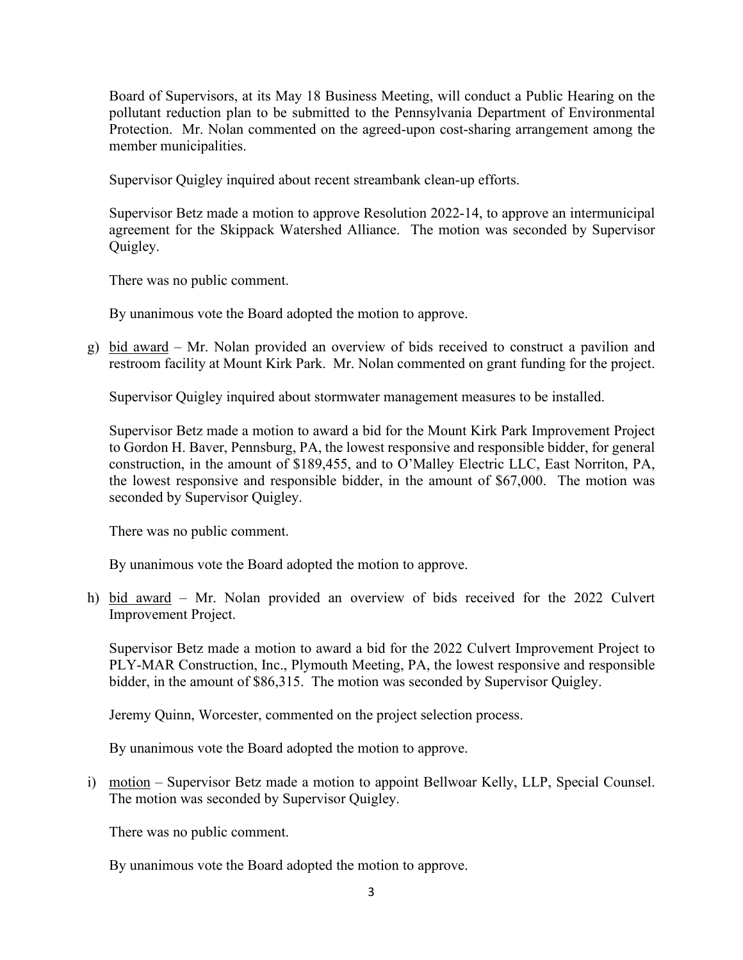Board of Supervisors, at its May 18 Business Meeting, will conduct a Public Hearing on the pollutant reduction plan to be submitted to the Pennsylvania Department of Environmental Protection. Mr. Nolan commented on the agreed-upon cost-sharing arrangement among the member municipalities.

Supervisor Quigley inquired about recent streambank clean-up efforts.

Supervisor Betz made a motion to approve Resolution 2022-14, to approve an intermunicipal agreement for the Skippack Watershed Alliance. The motion was seconded by Supervisor Quigley.

There was no public comment.

By unanimous vote the Board adopted the motion to approve.

g) bid award – Mr. Nolan provided an overview of bids received to construct a pavilion and restroom facility at Mount Kirk Park. Mr. Nolan commented on grant funding for the project.

Supervisor Quigley inquired about stormwater management measures to be installed.

Supervisor Betz made a motion to award a bid for the Mount Kirk Park Improvement Project to Gordon H. Baver, Pennsburg, PA, the lowest responsive and responsible bidder, for general construction, in the amount of \$189,455, and to O'Malley Electric LLC, East Norriton, PA, the lowest responsive and responsible bidder, in the amount of \$67,000. The motion was seconded by Supervisor Quigley.

There was no public comment.

By unanimous vote the Board adopted the motion to approve.

h) bid award – Mr. Nolan provided an overview of bids received for the 2022 Culvert Improvement Project.

Supervisor Betz made a motion to award a bid for the 2022 Culvert Improvement Project to PLY-MAR Construction, Inc., Plymouth Meeting, PA, the lowest responsive and responsible bidder, in the amount of \$86,315. The motion was seconded by Supervisor Quigley.

Jeremy Quinn, Worcester, commented on the project selection process.

By unanimous vote the Board adopted the motion to approve.

i) motion – Supervisor Betz made a motion to appoint Bellwoar Kelly, LLP, Special Counsel. The motion was seconded by Supervisor Quigley.

There was no public comment.

By unanimous vote the Board adopted the motion to approve.